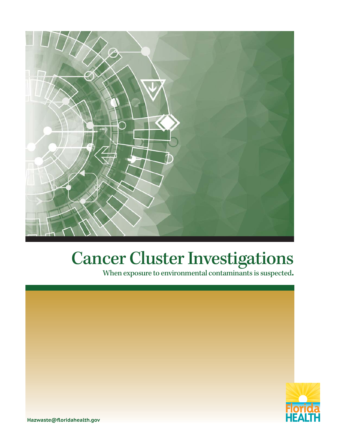

## Cancer Cluster Investigations

When exposure to environmental contaminants is suspected.



**Hazwaste@floridahealth.gov**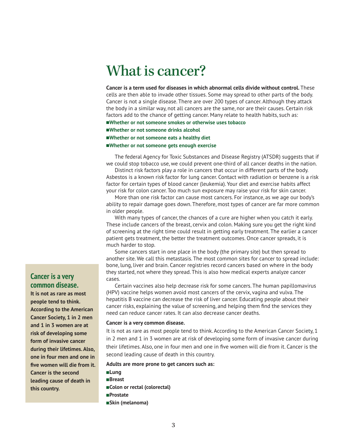## What is cancer?

**Cancer is a term used for diseases in which abnormal cells divide without control.** These cells are then able to invade other tissues. Some may spread to other parts of the body. Cancer is not a single disease. There are over 200 types of cancer. Although they attack the body in a similar way, not all cancers are the same, nor are their causes. Certain risk factors add to the chance of getting cancer. Many relate to health habits, such as: n**Whether or not someone smokes or otherwise uses tobacco**

- n**Whether or not someone drinks alcohol**
- 
- ■Whether or not someone eats a healthy diet
- n**Whether or not someone gets enough exercise**

The federal Agency for Toxic Substances and Disease Registry (ATSDR) suggests that if we could stop tobacco use, we could prevent one-third of all cancer deaths in the nation.

Distinct risk factors play a role in cancers that occur in different parts of the body. Asbestos is a known risk factor for lung cancer. Contact with radiation or benzene is a risk factor for certain types of blood cancer (leukemia). Your diet and exercise habits affect your risk for colon cancer. Too much sun exposure may raise your risk for skin cancer.

More than one risk factor can cause most cancers. For instance, as we age our body's ability to repair damage goes down. Therefore, most types of cancer are far more common in older people.

With many types of cancer, the chances of a cure are higher when you catch it early. These include cancers of the breast, cervix and colon. Making sure you get the right kind of screening at the right time could result in getting early treatment. The earlier a cancer patient gets treatment, the better the treatment outcomes. Once cancer spreads, it is much harder to stop.

Some cancers start in one place in the body (the primary site) but then spread to another site. We call this metastasis. The most common sites for cancer to spread include: bone, lung, liver and brain. Cancer registries record cancers based on where in the body they started, not where they spread. This is also how medical experts analyze cancer cases.

Certain vaccines also help decrease risk for some cancers. The human papillomavirus (HPV) vaccine helps women avoid most cancers of the cervix, vagina and vulva. The hepatitis B vaccine can decrease the risk of liver cancer. Educating people about their cancer risks, explaining the value of screening, and helping them find the services they need can reduce cancer rates. It can also decrease cancer deaths.

#### **Cancer is a very common disease.**

It is not as rare as most people tend to think. According to the American Cancer Society, 1 in 2 men and 1 in 3 women are at risk of developing some form of invasive cancer during their lifetimes. Also, one in four men and one in five women will die from it. Cancer is the second leading cause of death in this country.

#### **Adults are more prone to get cancers such as:**

n**Lung** n**Breast** n**Colon or rectal (colorectal)** n**Prostate** n**Skin (melanoma)**

## **Cancer is a very common disease.**

**It is not as rare as most people tend to think. According to the American Cancer Society, 1 in 2 men and 1 in 3 women are at risk of developing some form of invasive cancer during their lifetimes. Also, one in four men and one in five women will die from it. Cancer is the second leading cause of death in this country.**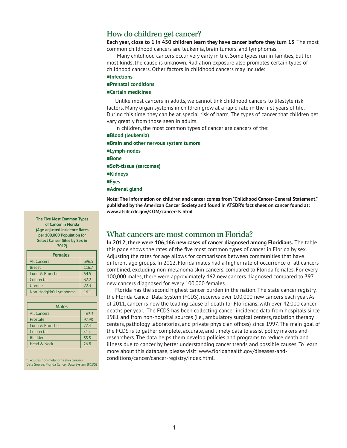## How do children get cancer?

**Each year, close to 1 in 450 children learn they have cancer before they turn 15**. The most common childhood cancers are leukemia, brain tumors, and lymphomas.

 Many childhood cancers occur very early in life. Some types run in families, but for most kinds, the cause is unknown. Radiation exposure also promotes certain types of childhood cancers. Other factors in childhood cancers may include:

- n**Infections**
- n**Prenatal conditions**

#### n**Certain medicines**

Unlike most cancers in adults, we cannot link childhood cancers to lifestyle risk factors. Many organ systems in children grow at a rapid rate in the first years of life. During this time, they can be at special risk of harm. The types of cancer that children get vary greatly from those seen in adults.

In children, the most common types of cancer are cancers of the:

n**Blood (leukemia)** n**Brain and other nervous system tumors** n**Lymph-nodes** n**Bone** n**Soft-tissue (sarcomas)** n**Kidneys** n**Eyes**  n**Adrenal gland Note: The information on children and cancer comes from "Childhood Cancer-General Statement,"**

**published by the American Cancer Society and found in ATSDR's fact sheet on cancer found at: www.atsdr.cdc.gov/COM/cancer-fs.html**

#### **The Five Most Common Types of Cancer in Florida (Age-adjusted Incidence Rates per 100,000 Population for Select Cancer Sites by Sex in 2012)**

| <b>Females</b>         |       |
|------------------------|-------|
| <b>All Cancers</b>     | 396.5 |
| <b>Breast</b>          | 116.7 |
| Lung & Bronchus        | 54.5  |
| Colorectal             | 32.2  |
| <b>Uterine</b>         | 22.3  |
| Non-Hodgkin's Lymphoma | 14.1  |

| <b>Males</b>       |       |
|--------------------|-------|
| <b>All Cancers</b> | 462.3 |
| Prostate           | 92.98 |
| Lung & Bronchus    | 72.4  |
| Colorectal         | 41.4  |
| <b>Bladder</b>     | 33.5  |
| Head & Neck        | 26.8  |

\*Excludes non-melanoma skin cancers Data Source: Florida Cancer Data System (FCDS)

## What cancers are most common in Florida?

**In 2012, there were 106,166 new cases of cancer diagnosed among Floridians.** The table this page shows the rates of the five most common types of cancer in Florida by sex. Adjusting the rates for age allows for comparisons between communities that have different age groups. In 2012, Florida males had a higher rate of occurrence of all cancers combined, excluding non-melanoma skin cancers, compared to Florida females. For every 100,000 males, there were approximately 462 new cancers diagnosed compared to 397 new cancers diagnosed for every 100,000 females.

Florida has the second highest cancer burden in the nation. The state cancer registry, the Florida Cancer Data System (FCDS), receives over 100,000 new cancers each year. As of 2011, cancer is now the leading cause of death for Floridians, with over 42,000 cancer deaths per year. The FCDS has been collecting cancer incidence data from hospitals since 1981 and from non-hospital sources (i.e., ambulatory surgical centers, radiation therapy centers, pathology laboratories, and private physician offices) since 1997. The main goal of the FCDS is to gather complete, accurate, and timely data to assist policy makers and researchers. The data helps them develop policies and programs to reduce death and illness due to cancer by better understanding cancer trends and possible causes. To learn more about this database, please visit: www.floridahealth.gov/diseases-andconditions/cancer/cancer-registry/index.html.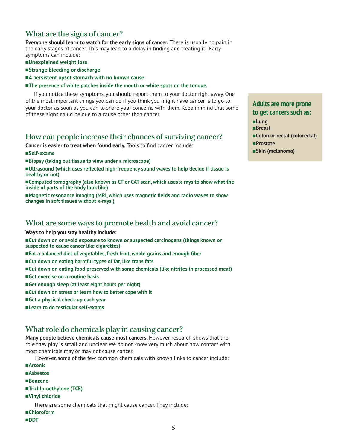## What are the signs of cancer?

**Everyone should learn to watch for the early signs of cancer.** There is usually no pain in the early stages of cancer. This may lead to a delay in finding and treating it. Early symptoms can include:

- n**Unexplained weight loss**
- ■Strange bleeding or discharge
- ■A persistent upset stomach with no known cause

#### **nd The presence of white patches inside the mouth or white spots on the tongue.**

If you notice these symptoms, you should report them to your doctor right away. One of the most important things you can do if you think you might have cancer is to go to your doctor as soon as you can to share your concerns with them. Keep in mind that some of these signs could be due to a cause other than cancer.

## How can people increase their chances of surviving cancer?

**Cancer is easier to treat when found early.** Tools to find cancer include:

- n**Self-exams**
- ■Biopsy (taking out tissue to view under a microscope)
- n**Ultrasound (which uses reflected high-frequency sound waves to help decide if tissue is healthy or not)**

■Computed tomography (also known as CT or CAT scan, which uses x-rays to show what the **inside of parts of the body look like)**

**n Magnetic resonance imaging (MRI, which uses magnetic fields and radio waves to show changes in soft tissues without x-rays.)**

## What are some ways to promote health and avoid cancer?

- **Ways to help you stay healthy include:**
- ■Cut down on or avoid exposure to known or suspected carcinogens (things known or **suspected to cause cancer like cigarettes)**
- ■**Eat a balanced diet of vegetables, fresh fruit, whole grains and enough fiber**
- ■Cut down on eating harmful types of fat, like trans fats
- ■Cut down on eating food preserved with some chemicals (like nitrites in processed meat)
- ■Get exercise on a routine basis
- Get enough sleep (at least eight hours per night)
- ■Cut down on stress or learn how to better cope with it
- ■Get a physical check-up each year
- n **Learn to do testicular self-exams**

## What role do chemicals play in causing cancer?

**Many people believe chemicals cause most cancers.** However, research shows that the role they play is small and unclear. We do not know very much about how contact with most chemicals may or may not cause cancer.

However, some of the few common chemicals with known links to cancer include:

- **■Arsenic**
- n**Asbestos**
- n**Benzene**
- n**Trichloroethylene (TCE)**
- n**Vinyl chloride**

There are some chemicals that might cause cancer. They include:

- n**Chloroform**
- n**DDT**

## **Adults are more prone to get cancers such as:**

n**Lung** n**Breast** ■Colon or rectal (colorectal) n**Prostate** n**Skin (melanoma)**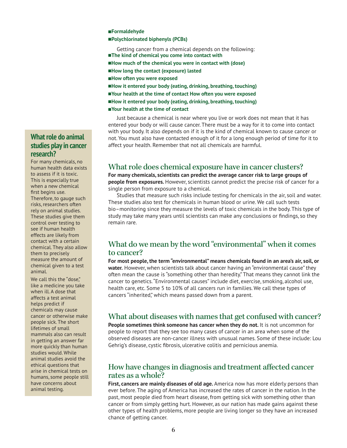#### n**Formaldehyde**

#### n**Polychlorinated biphenyls (PCBs)**

Getting cancer from a chemical depends on the following:

- ■The kind of chemical you come into contact with
- ■How much of the chemical you were in contact with (dose)
- n**How long the contact (exposure) lasted**
- n**How often you were exposed**
- ■How it entered your body (eating, drinking, breathing, touching)
- n**Your health at the time of contact How often you were exposed**
- ■How it entered your body (eating, drinking, breathing, touching)
- Your health at the time of contact

Just because a chemical is near where you live or work does not mean that it has entered your body or will cause cancer. There must be a way for it to come into contact with your body. It also depends on if it is the kind of chemical known to cause cancer or not. You must also have contacted enough of it for a long enough period of time for it to affect your health. Remember that not all chemicals are harmful.

## What role does chemical exposure have in cancer clusters?

**For many chemicals, scientists can predict the average cancer risk to large groups of people from exposures.** However, scientists cannot predict the precise risk of cancer for a single person from exposure to a chemical.

Studies that measure such risks include testing for chemicals in the air, soil and water. These studies also test for chemicals in human blood or urine. We call such tests bio–monitoring since they measure the levels of toxic chemicals in the body. This type of study may take many years until scientists can make any conclusions or findings, so they remain rare.

## What do we mean by the word "environmental" when it comes to cancer?

**For most people, the term "environmental" means chemicals found in an area's air, soil, or water.** However, when scientists talk about cancer having an "environmental cause" they often mean the cause is "something other than heredity." That means they cannot link the cancer to genetics. "Environmental causes" include diet, exercise, smoking, alcohol use, health care, etc. Some 5 to 10% of all cancers run in families. We call these types of cancers "inherited," which means passed down from a parent.

## What about diseases with names that get confused with cancer?

**People sometimes think someone has cancer when they do not.** It is not uncommon for people to report that they see too many cases of cancer in an area when some of the observed diseases are non-cancer illness with unusual names. Some of these include: Lou Gehrig's disease, cystic fibrosis, ulcerative colitis and pernicious anemia.

## How have changes in diagnosis and treatment affected cancer rates as a whole?

**First, cancers are mainly diseases of old age.** America now has more elderly persons than ever before. The aging of America has increased the rates of cancer in the nation. In the past, most people died from heart disease, from getting sick with something other than cancer or from simply getting hurt. However, as our nation has made gains against these other types of health problems, more people are living longer so they have an increased chance of getting cancer.

## **What role do animal studies play in cancer research?**

For many chemicals, no human health data exists to assess if it is toxic. This is especially true when a new chemical first begins use. Therefore, to gauge such risks, researchers often rely on animal studies. These studies give them control over testing to see if human health effects are likely from contact with a certain chemical. They also allow them to precisely measure the amount of chemical given to a test animal.

We call this the "dose." like a medicine you take when ill. A dose that affects a test animal helps predict if chemicals may cause cancer or otherwise make people sick. The short lifetimes of small mammals also can result in getting an answer far more quickly than human studies would. While animal studies avoid the ethical questions that arise in chemical tests on humans, some people still have concerns about animal testing.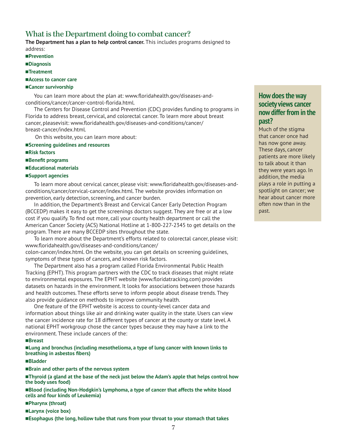## What is the Department doing to combat cancer?

**The Department has a plan to help control cancer.** This includes programs designed to address:

- n**Prevention**
- n**Diagnosis**
- ■Treatment
- ■**Access to cancer care**
- n**Cancer survivorship**

You can learn more about the plan at: www.floridahealth.gov/diseases-andconditions/cancer/cancer-control-florida.html.

The Centers for Disease Control and Prevention (CDC) provides funding to programs in Florida to address breast, cervical, and colorectal cancer. To learn more about breast cancer, pleasevisit: www.floridahealth.gov/diseases-and-conditions/cancer/ breast-cancer/index.html.

On this website, you can learn more about:

#### n**Screening guidelines and resources**

- ■**Risk factors**
- ■Benefit programs
- n**Educational materials**
- n**Support agencies**

To learn more about cervical cancer, please visit: www.floridahealth.gov/diseases-andconditions/cancer/cervical-cancer/index.html. The website provides information on prevention, early detection, screening, and cancer burden.

In addition, the Department's Breast and Cervical Cancer Early Detection Program (BCCEDP) makes it easy to get the screenings doctors suggest. They are free or at a low cost if you qualify. To find out more, call your county health department or call the American Cancer Society (ACS) National Hotline at 1-800-227-2345 to get details on the program. There are many BCCEDP sites throughout the state.

To learn more about the Department's efforts related to colorectal cancer, please visit: www.floridahealth.gov/diseases-and-conditions/cancer/ colon-cancer/index.html. On the website, you can get details on screening guidelines,

symptoms of these types of cancers, and known risk factors.

The Department also has a program called Florida Environmental Public Health Tracking (EPHT). This program partners with the CDC to track diseases that might relate to environmental exposures. The EPHT website (www.floridatracking.com) provides datasets on hazards in the environment. It looks for associations between those hazards and health outcomes. These efforts serve to inform people about disease trends. They also provide guidance on methods to improve community health.

One feature of the EPHT website is access to county-level cancer data and information about things like air and drinking water quality in the state. Users can view the cancer incidence rate for 18 different types of cancer at the county or state level. A national EPHT workgroup chose the cancer types because they may have a link to the environment. These include cancers of the:

#### n**Breast**

n**Lung and bronchus (including mesothelioma, a type of lung cancer with known links to breathing in asbestos fibers)**

#### n**Bladder**

■Brain and other parts of the nervous system

n**Thyroid (a gland at the base of the neck just below the Adam's apple that helps control how the body uses food)**

n**Blood (including Non-Hodgkin's Lymphoma, a type of cancer that affects the white blood cells and four kinds of Leukemia)**

- n**Pharynx (throat)**
- n**Larynx (voice box)**

n**Esophagus (the long, hollow tube that runs from your throat to your stomach that takes**

## **How does the way society views cancer now differ from in the past?**

Much of the stigma that cancer once had has now gone away. These days, cancer patients are more likely to talk about it than they were years ago. In addition, the media plays a role in putting a spotlight on cancer; we hear about cancer more often now than in the past.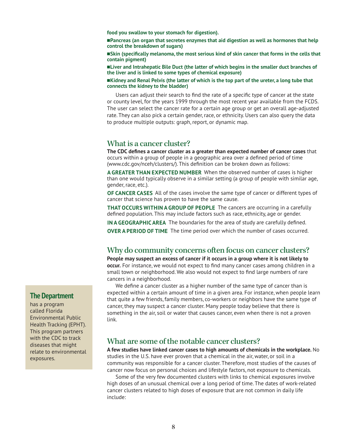**food you swallow to your stomach for digestion).**

n**Pancreas (an organ that secretes enzymes that aid digestion as well as hormones that help control the breakdown of sugars)**

n**Skin (specifically melanoma, the most serious kind of skin cancer that forms in the cells that contain pigment)**

n**Liver and Intrahepatic Bile Duct (the latter of which begins in the smaller duct branches of the liver and is linked to some types of chemical exposure)**

n**Kidney and Renal Pelvis (the latter of which is the top part of the ureter, a long tube that connects the kidney to the bladder)** 

Users can adjust their search to find the rate of a specific type of cancer at the state or county level, for the years 1999 through the most recent year available from the FCDS. The user can select the cancer rate for a certain age group or get an overall age-adjusted rate. They can also pick a certain gender, race, or ethnicity. Users can also query the data to produce multiple outputs: graph, report, or dynamic map.

### What is a cancer cluster?

**The CDC defines a cancer cluster as a greater than expected number of cancer cases** that occurs within a group of people in a geographic area over a defined period of time (www.cdc.gov/nceh/clusters/). This definition can be broken down as follows:

**A GREATER THAN EXPECTED NUMBER** When the observed number of cases is higher than one would typically observe in a similar setting (a group of people with similar age, gender, race, etc.).

**OF CANCER CASES** All of the cases involve the same type of cancer or different types of cancer that science has proven to have the same cause.

**THAT OCCURS WITHIN A GROUP OF PEOPLE** The cancers are occurring in a carefully defined population. This may include factors such as race, ethnicity, age or gender.

**IN A GEOGRAPHIC AREA** The boundaries for the area of study are carefully defined.

**OVER A PERIOD OF TIME** The time period over which the number of cases occurred.

## Why do community concerns often focus on cancer clusters?

**People may suspect an excess of cancer if it occurs in a group where it is not likely to occur.** For instance, we would not expect to find many cancer cases among children in a small town or neighborhood. We also would not expect to find large numbers of rare cancers in a neighborhood.

We define a cancer cluster as a higher number of the same type of cancer than is expected within a certain amount of time in a given area. For instance, when people learn that quite a few friends, family members, co-workers or neighbors have the same type of cancer, they may suspect a cancer cluster. Many people today believe that there is something in the air, soil or water that causes cancer, even when there is not a proven link.

## What are some of the notable cancer clusters?

**A few studies have linked cancer cases to high amounts of chemicals in the workplace.** No studies in the U.S. have ever proven that a chemical in the air, water, or soil in a community was responsible for a cancer cluster. Therefore, most studies of the causes of cancer now focus on personal choices and lifestyle factors, not exposure to chemicals.

Some of the very few documented clusters with links to chemical exposures involve high doses of an unusual chemical over a long period of time. The dates of work-related cancer clusters related to high doses of exposure that are not common in daily life include:

### **The Department**

has a program called Florida Environmental Public Health Tracking (EPHT). This program partners with the CDC to track diseases that might relate to environmental exposures.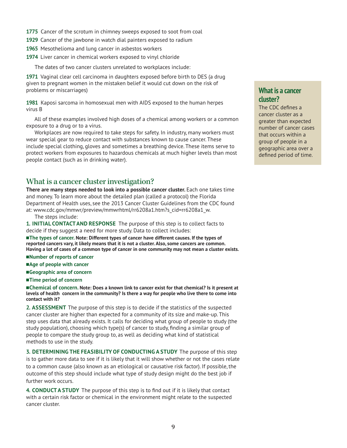- **1775** Cancer of the scrotum in chimney sweeps exposed to soot from coal
- **1929** Cancer of the jawbone in watch dial painters exposed to radium
- **1965** Mesothelioma and lung cancer in asbestos workers
- **1974** Liver cancer in chemical workers exposed to vinyl chloride

The dates of two cancer clusters unrelated to workplaces include:

**1971** Vaginal clear cell carcinoma in daughters exposed before birth to DES (a drug given to pregnant women in the mistaken belief it would cut down on the risk of problems or miscarriages)

**1981** Kaposi sarcoma in homosexual men with AIDS exposed to the human herpes virus B

All of these examples involved high doses of a chemical among workers or a common exposure to a drug or to a virus.

Workplaces are now required to take steps for safety. In industry, many workers must wear special gear to reduce contact with substances known to cause cancer. These include special clothing, gloves and sometimes a breathing device. These items serve to protect workers from exposures to hazardous chemicals at much higher levels than most people contact (such as in drinking water).

## What is a cancer cluster investigation?

**There are many steps needed to look into a possible cancer cluster.** Each one takes time and money. To learn more about the detailed plan (called a protocol) the Florida Department of Health uses, see the 2013 Cancer Cluster Guidelines from the CDC found at: www.cdc.gov/mmwr/preview/mmwrhtml/rr6208a1.htm?s\_cid=rr6208a1\_w.

The steps include:

**1. INITIAL CONTACT AND RESPONSE** The purpose of this step is to collect facts to decide if they suggest a need for more study. Data to collect includes:

**n**The types of cancer. Note: Different types of cancer have different causes. If the types of **reported cancers vary, it likely means that it is not a cluster. Also, some cancers are common. Having a lot of cases of a common type of cancer in one community may not mean a cluster exists.**

- n**Number of reports of cancer**
- ■Age of people with cancer
- ■Geographic area of concern
- ■Time period of concern

n **Chemical of concern. Note: Does a known link to cancer exist for that chemical? Is it present at levels of health concern in the community? Is there a way for people who live there to come into contact with it?**

**2. ASSESSMENT** The purpose of this step is to decide if the statistics of the suspected cancer cluster are higher than expected for a community of its size and make-up. This step uses data that already exists. It calls for deciding what group of people to study (the study population), choosing which type(s) of cancer to study, finding a similar group of people to compare the study group to, as well as deciding what kind of statistical methods to use in the study.

**3. DETERMINING THE FEASIBILITY OF CONDUCTING A STUDY** The purpose of this step is to gather more data to see if it is likely that it will show whether or not the cases relate to a common cause (also known as an etiological or causative risk factor). If possible, the outcome of this step should include what type of study design might do the best job if further work occurs.

**4. CONDUCT A STUDY** The purpose of this step is to find out if it is likely that contact with a certain risk factor or chemical in the environment might relate to the suspected cancer cluster.

## **What is a cancer cluster?**

The CDC defines a cancer cluster as a greater than expected number of cancer cases that occurs within a group of people in a geographic area over a defined period of time.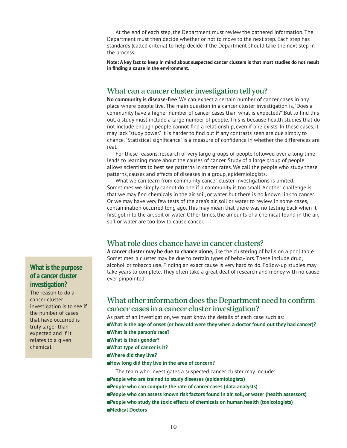At the end of each step, the Department must review the gathered information. The Department must then decide whether or not to move to the next step. Each step has standards (called criteria) to help decide if the Department should take the next step in the process.

**Note: A key fact to keep in mind about suspected cancer clusters is that most studies do not result in finding a cause in the environment.**

## What can a cancer cluster investigation tell you?

**No community is disease-free**. We can expect a certain number of cancer cases in any place where people live. The main question in a cancer cluster investigation is, "Does a community have a higher number of cancer cases than what is expected?" But to find this out, a study must include a large number of people. This is because health studies that do not include enough people cannot find a relationship, even if one exists. In these cases, it may lack "study power." It is harder to find out if any contrasts seen are due simply to chance. "Statistical significance" is a measure of confidence in whether the differences are real.

For these reasons, research of very large groups of people followed over a long time leads to learning more about the causes of cancer. Study of a large group of people allows scientists to best see patterns in cancer rates. We call the people who study these patterns, causes and effects of diseases in a group, epidemiologists.

What we can learn from community cancer cluster investigations is limited. Sometimes we simply cannot do one if a community is too small. Another challenge is that we may find chemicals in the air soil, or water, but there is no known link to cancer. Or we may have very few tests of the area's air, soil or water to review. In some cases, contamination occurred long ago. This may mean that there was no testing back when it first got into the air, soil or water. Other times, the amounts of a chemical found in the air, soil or water are too low to cause cancer.

## What role does chance have in cancer clusters?

**A cancer cluster may be due to chance alone,** like the clustering of balls on a pool table. Sometimes, a cluster may be due to certain types of behaviors. These include drug, alcohol, or tobacco use. Finding an exact cause is very hard to do. Follow-up studies may take years to complete. They often take a great deal of research and money with no cause ever pinpointed.

## What other information does the Department need to confirm cancer cases in a cancer cluster investigation?

As part of an investigation, we must know the details of each case such as: n**What is the age of onset (or how old were they when a doctor found out they had cancer)?** n**What is the person's race?** n**What is their gender?** ■What type of cancer is it? n**Where did they live?** ■How long did they live in the area of concern? The team who investigates a suspected cancer cluster may include:

■People who are trained to study diseases (epidemiologists) n**People who can compute the rate of cancer cases (data analysts)** n**People who can assess known risk factors found in air, soil, or water (health assessors)** n**People who study the toxic effects of chemicals on human health (toxicologists)** n**Medical Doctors**

## **What is the purpose of a cancer cluster investigation?**

The reason to do a cancer cluster investigation is to see if the number of cases that have occurred is truly larger than expected and if it relates to a given chemical.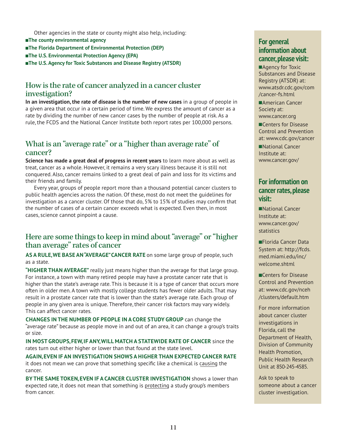Other agencies in the state or county might also help, including:

**n**The county environmental agency

n**The Florida Department of Environmental Protection (DEP)**

- ■The U.S. Environmental Protection Agency (EPA)
- **n**The U.S. Agency for Toxic Substances and Disease Registry (ATSDR)

## How is the rate of cancer analyzed in a cancer cluster investigation?

**In an investigation, the rate of disease is the number of new cases** in a group of people in a given area that occur in a certain period of time. We express the amount of cancer as a rate by dividing the number of new cancer cases by the number of people at risk. As a rule, the FCDS and the National Cancer Institute both report rates per 100,000 persons.

## What is an "average rate" or a "higher than average rate" of cancer?

**Science has made a great deal of progress in recent years** to learn more about as well as treat, cancer as a whole. However, it remains a very scary illness because it is still not conquered. Also, cancer remains linked to a great deal of pain and loss for its victims and their friends and family.

Every year, groups of people report more than a thousand potential cancer clusters to public health agencies across the nation. Of these, most do not meet the guidelines for investigation as a cancer cluster. Of those that do, 5% to 15% of studies may confirm that the number of cases of a certain cancer exceeds what is expected. Even then, in most cases, science cannot pinpoint a cause.

## Here are some things to keep in mind about "average" or "higher than average" rates of cancer

**AS A RULE, WE BASE AN "AVERAGE" CANCER RATE** on some large group of people, such as a state.

**"HIGHER THAN AVERAGE"** really just means higher than the average for that large group. For instance, a town with many retired people may have a prostate cancer rate that is higher than the state's average rate. This is because it is a type of cancer that occurs more often in older men. A town with mostly college students has fewer older adults. That may result in a prostate cancer rate that is lower than the state's average rate. Each group of people in any given area is unique. Therefore, their cancer risk factors may vary widely. This can affect cancer rates.

**CHANGES IN THE NUMBER OF PEOPLE IN A CORE STUDY GROUP** can change the "average rate" because as people move in and out of an area, it can change a group's traits or size.

**IN MOST GROUPS, FEW, IF ANY, WILL MATCH A STATEWIDE RATE OF CANCER** since the rates turn out either higher or lower than that found at the state level.

**AGAIN, EVEN IF AN INVESTIGATION SHOWS A HIGHER THAN EXPECTED CANCER RATE** it does not mean we can prove that something specific like a chemical is causing the cancer.

**BY THE SAME TOKEN, EVEN IF A CANCER CLUSTER INVESTIGATION** shows a lower than expected rate, it does not mean that something is protecting a study group's members from cancer.

## **For general information about cancer, please visit:**

■Agency for Toxic Substances and Disease Registry (ATSDR) at: www.atsdr.cdc.gov/com /cancer-fs.html

■American Cancer Society at: www.cancer.org

**nCenters for Disease** Control and Prevention at: www.cdc.gov/cancer

■National Cancer Institute at: www.cancer.gov/

## **For information on cancer rates, please visit:**

■National Cancer Institute at: www.cancer.gov/ statistics

■Florida Cancer Data System at: http://fcds. med.miami.edu/inc/ welcome.shtml

**nCenters for Disease** Control and Prevention at: www.cdc.gov/nceh /clusters/default.htm

For more information about cancer cluster investigations in Florida, call the Department of Health, Division of Community Health Promotion, Public Health Research Unit at 850-245-4585.

Ask to speak to someone about a cancer cluster investigation.